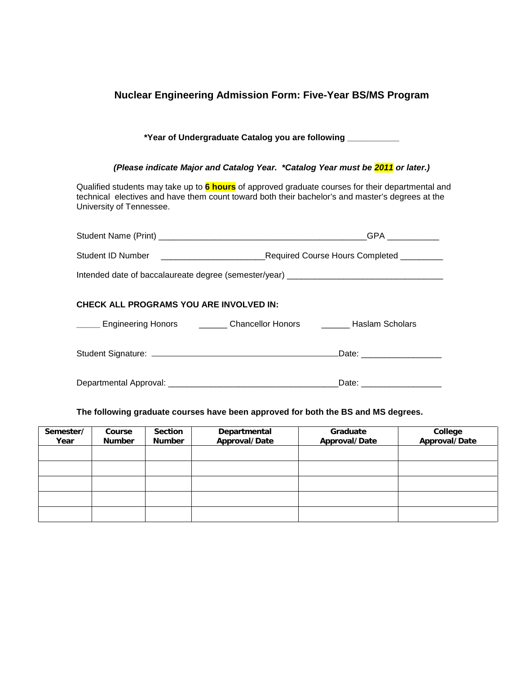### **Nuclear Engineering Admission Form: Five-Year BS/MS Program**

#### **\*Year of Undergraduate Catalog you are following \_\_\_\_\_\_\_\_\_\_\_**

#### *(Please indicate Major and Catalog Year. \*Catalog Year must be 2011 or later.)*

Qualified students may take up to **6 hours** of approved graduate courses for their departmental and technical electives and have them count toward both their bachelor's and master's degrees at the University of Tennessee.

|                                                                                   | GPA __________            |  |  |  |  |
|-----------------------------------------------------------------------------------|---------------------------|--|--|--|--|
|                                                                                   |                           |  |  |  |  |
| Intended date of baccalaureate degree (semester/year) ___________________________ |                           |  |  |  |  |
| <b>CHECK ALL PROGRAMS YOU ARE INVOLVED IN:</b>                                    |                           |  |  |  |  |
| Engineering Honors __________ Chancellor Honors __________ Haslam Scholars        |                           |  |  |  |  |
|                                                                                   | Date: ___________________ |  |  |  |  |
|                                                                                   |                           |  |  |  |  |

#### **The following graduate courses have been approved for both the BS and MS degrees.**

| Semester/<br>Year | Course<br><b>Number</b> | <b>Section</b><br><b>Number</b> | Departmental<br>Approval/Date | Graduate<br>Approval/Date | College<br>Approval/Date |
|-------------------|-------------------------|---------------------------------|-------------------------------|---------------------------|--------------------------|
|                   |                         |                                 |                               |                           |                          |
|                   |                         |                                 |                               |                           |                          |
|                   |                         |                                 |                               |                           |                          |
|                   |                         |                                 |                               |                           |                          |
|                   |                         |                                 |                               |                           |                          |